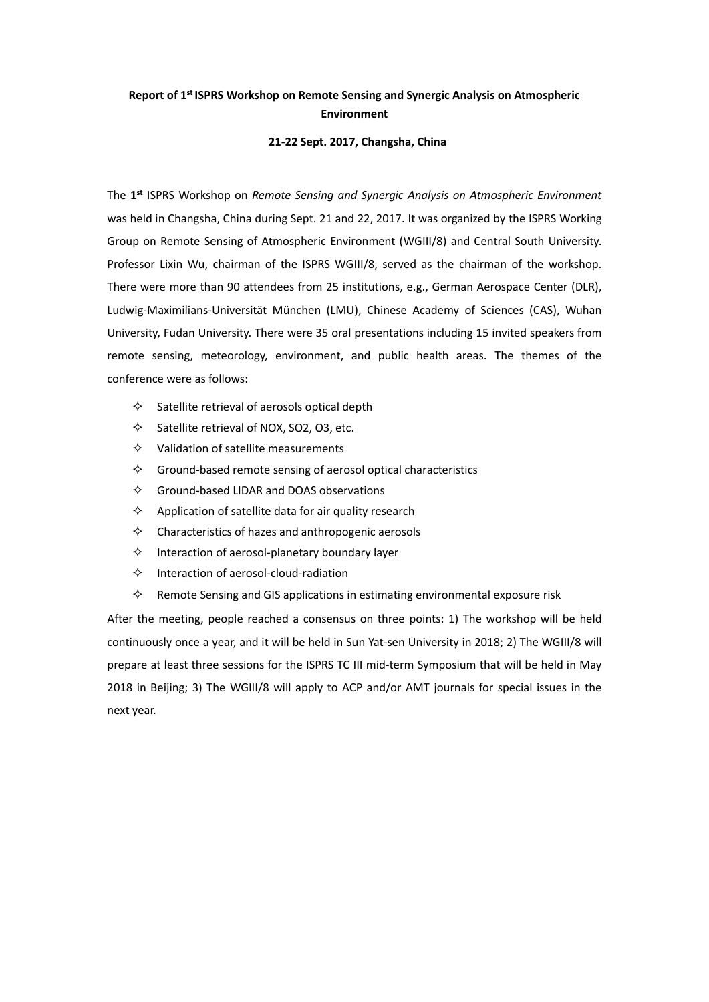## Report of 1<sup>st</sup> ISPRS Workshop on Remote Sensing and Synergic Analysis on Atmospheric **Environment**

## **21-22 Sept. 2017, Changsha, China**

The **1 st** ISPRS Workshop on *Remote Sensing and Synergic Analysis on Atmospheric Environment*  was held in Changsha, China during Sept. 21 and 22, 2017. It was organized by the ISPRS Working Group on Remote Sensing of Atmospheric Environment (WGIII/8) and Central South University. Professor Lixin Wu, chairman of the ISPRS WGIII/8, served as the chairman of the workshop. There were more than 90 attendees from 25 institutions, e.g., German Aerospace Center (DLR), Ludwig-Maximilians-Universität München (LMU), Chinese Academy of Sciences (CAS), Wuhan University, Fudan University. There were 35 oral presentations including 15 invited speakers from remote sensing, meteorology, environment, and public health areas. The themes of the conference were as follows:

- $\diamond$  Satellite retrieval of aerosols optical depth
- $\diamond$  Satellite retrieval of NOX, SO2, O3, etc.
- $\Diamond$  Validation of satellite measurements
- $\Diamond$  Ground-based remote sensing of aerosol optical characteristics
- $\Diamond$  Ground-based LIDAR and DOAS observations
- $\Diamond$  Application of satellite data for air quality research
- $\Diamond$  Characteristics of hazes and anthropogenic aerosols
- $\Leftrightarrow$  Interaction of aerosol-planetary boundary layer
- $\diamond$  Interaction of aerosol-cloud-radiation
- $\diamond$  Remote Sensing and GIS applications in estimating environmental exposure risk

After the meeting, people reached a consensus on three points: 1) The workshop will be held continuously once a year, and it will be held in Sun Yat-sen University in 2018; 2) The WGIII/8 will prepare at least three sessions for the ISPRS TC III mid-term Symposium that will be held in May 2018 in Beijing; 3) The WGIII/8 will apply to ACP and/or AMT journals for special issues in the next year.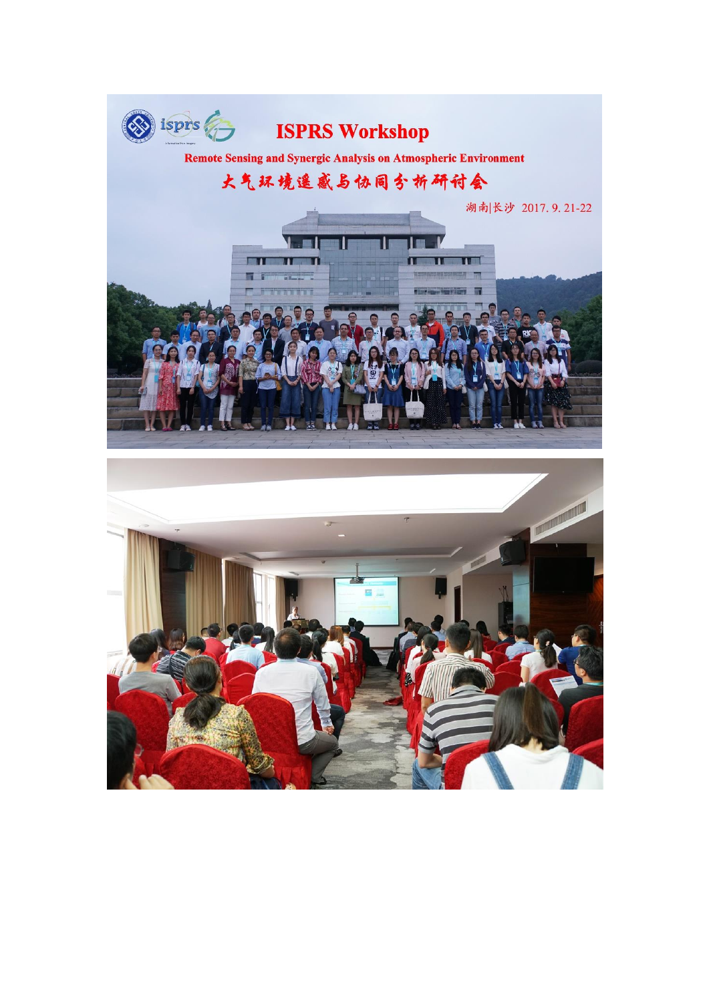